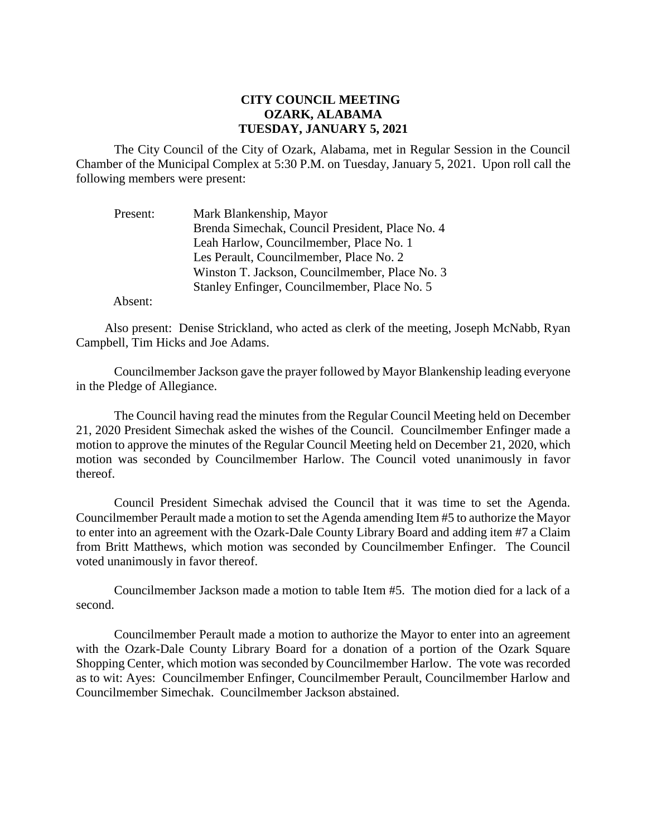## **CITY COUNCIL MEETING OZARK, ALABAMA TUESDAY, JANUARY 5, 2021**

The City Council of the City of Ozark, Alabama, met in Regular Session in the Council Chamber of the Municipal Complex at 5:30 P.M. on Tuesday, January 5, 2021. Upon roll call the following members were present:

| Present: | Mark Blankenship, Mayor                         |
|----------|-------------------------------------------------|
|          | Brenda Simechak, Council President, Place No. 4 |
|          | Leah Harlow, Councilmember, Place No. 1         |
|          | Les Perault, Councilmember, Place No. 2         |
|          | Winston T. Jackson, Councilmember, Place No. 3  |
|          | Stanley Enfinger, Councilmember, Place No. 5    |

Absent:

Also present: Denise Strickland, who acted as clerk of the meeting, Joseph McNabb, Ryan Campbell, Tim Hicks and Joe Adams.

CouncilmemberJackson gave the prayer followed by Mayor Blankenship leading everyone in the Pledge of Allegiance.

The Council having read the minutes from the Regular Council Meeting held on December 21, 2020 President Simechak asked the wishes of the Council. Councilmember Enfinger made a motion to approve the minutes of the Regular Council Meeting held on December 21, 2020, which motion was seconded by Councilmember Harlow. The Council voted unanimously in favor thereof.

Council President Simechak advised the Council that it was time to set the Agenda. Councilmember Perault made a motion to set the Agenda amending Item #5 to authorize the Mayor to enter into an agreement with the Ozark-Dale County Library Board and adding item #7 a Claim from Britt Matthews, which motion was seconded by Councilmember Enfinger. The Council voted unanimously in favor thereof.

Councilmember Jackson made a motion to table Item #5. The motion died for a lack of a second.

Councilmember Perault made a motion to authorize the Mayor to enter into an agreement with the Ozark-Dale County Library Board for a donation of a portion of the Ozark Square Shopping Center, which motion was seconded by Councilmember Harlow. The vote was recorded as to wit: Ayes: Councilmember Enfinger, Councilmember Perault, Councilmember Harlow and Councilmember Simechak. Councilmember Jackson abstained.